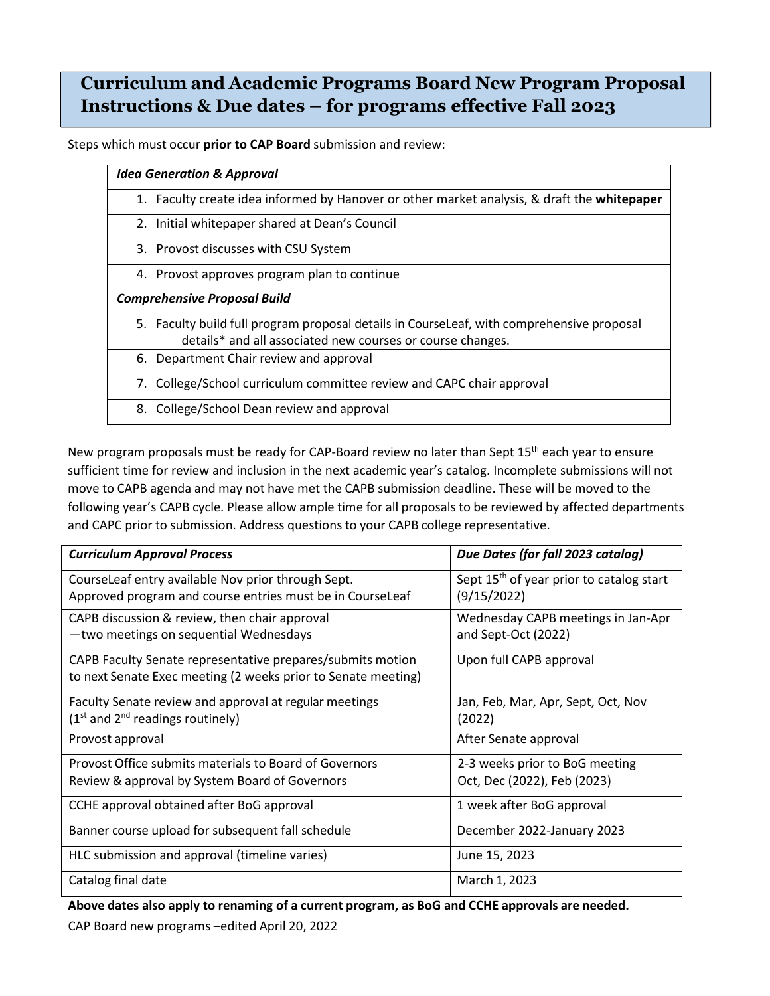## **Curriculum and Academic Programs Board New Program Proposal Instructions & Due dates – for programs effective Fall 2023**

Steps which must occur **prior to CAP Board** submission and review:

| <b>Idea Generation &amp; Approval</b>                                                       |
|---------------------------------------------------------------------------------------------|
| 1. Faculty create idea informed by Hanover or other market analysis, & draft the whitepaper |
| 2. Initial whitepaper shared at Dean's Council                                              |
| 3. Provost discusses with CSU System                                                        |
| 4. Provost approves program plan to continue                                                |
| <b>Comprehensive Proposal Build</b>                                                         |
| 5. Faculty build full program proposal details in CourseLeaf, with comprehensive proposal   |
| details* and all associated new courses or course changes.                                  |
| 6. Department Chair review and approval                                                     |
| 7. College/School curriculum committee review and CAPC chair approval                       |
| 8. College/School Dean review and approval                                                  |

New program proposals must be ready for CAP-Board review no later than Sept 15<sup>th</sup> each year to ensure sufficient time for review and inclusion in the next academic year's catalog. Incomplete submissions will not move to CAPB agenda and may not have met the CAPB submission deadline. These will be moved to the following year's CAPB cycle. Please allow ample time for all proposals to be reviewed by affected departments and CAPC prior to submission. Address questions to your CAPB college representative.

| <b>Curriculum Approval Process</b>                                                                                          | Due Dates (for fall 2023 catalog)                                   |
|-----------------------------------------------------------------------------------------------------------------------------|---------------------------------------------------------------------|
| CourseLeaf entry available Nov prior through Sept.<br>Approved program and course entries must be in CourseLeaf             | Sept 15 <sup>th</sup> of year prior to catalog start<br>(9/15/2022) |
| CAPB discussion & review, then chair approval<br>-two meetings on sequential Wednesdays                                     | Wednesday CAPB meetings in Jan-Apr<br>and Sept-Oct (2022)           |
| CAPB Faculty Senate representative prepares/submits motion<br>to next Senate Exec meeting (2 weeks prior to Senate meeting) | Upon full CAPB approval                                             |
| Faculty Senate review and approval at regular meetings<br>$(1st$ and $2nd$ readings routinely)                              | Jan, Feb, Mar, Apr, Sept, Oct, Nov<br>(2022)                        |
| Provost approval                                                                                                            | After Senate approval                                               |
| Provost Office submits materials to Board of Governors                                                                      | 2-3 weeks prior to BoG meeting                                      |
| Review & approval by System Board of Governors                                                                              | Oct, Dec (2022), Feb (2023)                                         |
| CCHE approval obtained after BoG approval                                                                                   | 1 week after BoG approval                                           |
| Banner course upload for subsequent fall schedule                                                                           | December 2022-January 2023                                          |
| HLC submission and approval (timeline varies)                                                                               | June 15, 2023                                                       |
| Catalog final date                                                                                                          | March 1, 2023                                                       |

**Above dates also apply to renaming of a current program, as BoG and CCHE approvals are needed.**

CAP Board new programs –edited April 20, 2022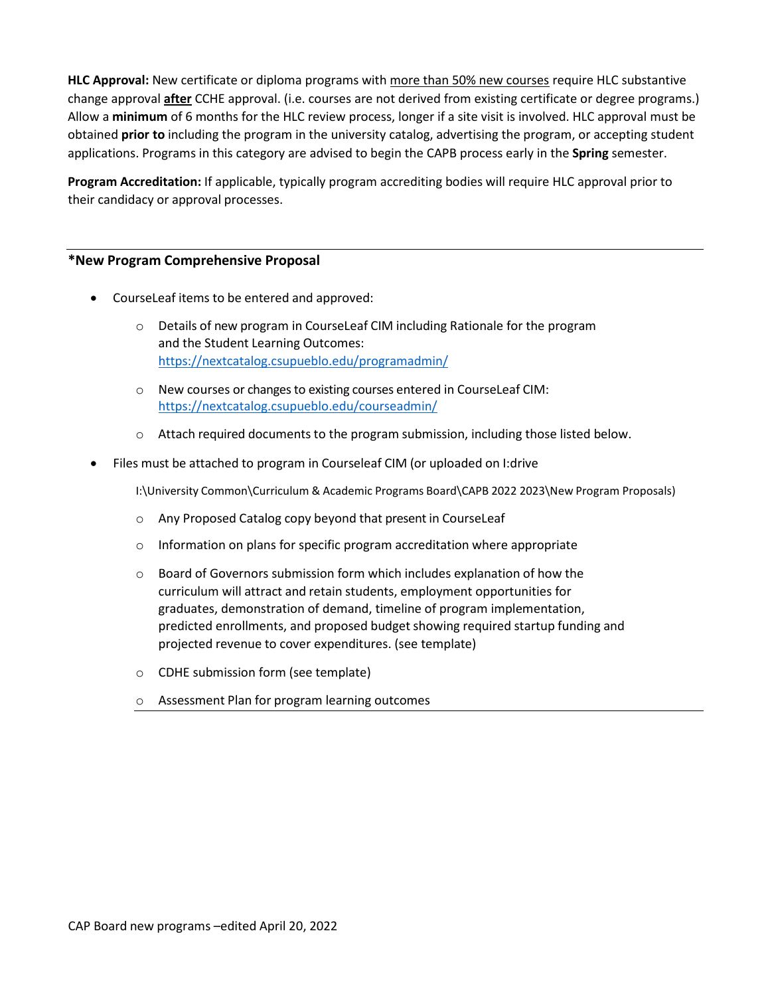**HLC Approval:** New certificate or diploma programs with more than 50% new courses require HLC substantive change approval **after** CCHE approval. (i.e. courses are not derived from existing certificate or degree programs.) Allow a **minimum** of 6 months for the HLC review process, longer if a site visit is involved. HLC approval must be obtained **prior to** including the program in the university catalog, advertising the program, or accepting student applications. Programs in this category are advised to begin the CAPB process early in the **Spring** semester.

**Program Accreditation:** If applicable, typically program accrediting bodies will require HLC approval prior to their candidacy or approval processes.

## **\*New Program Comprehensive Proposal**

- CourseLeaf items to be entered and approved:
	- o Details of new program in CourseLeaf CIM including Rationale for the program and the Student Learning Outcomes: <https://nextcatalog.csupueblo.edu/programadmin/>
	- o New courses or changes to existing courses entered in CourseLeaf CIM: <https://nextcatalog.csupueblo.edu/courseadmin/>
	- $\circ$  Attach required documents to the program submission, including those listed below.
- Files must be attached to program in Courseleaf CIM (or uploaded on I:drive

I:\University Common\Curriculum & Academic Programs Board\CAPB 2022 2023\New Program Proposals)

- o Any Proposed Catalog copy beyond that present in CourseLeaf
- o Information on plans for specific program accreditation where appropriate
- $\circ$  Board of Governors submission form which includes explanation of how the curriculum will attract and retain students, employment opportunities for graduates, demonstration of demand, timeline of program implementation, predicted enrollments, and proposed budget showing required startup funding and projected revenue to cover expenditures. (see template)
- o CDHE submission form (see template)
- o Assessment Plan for program learning outcomes